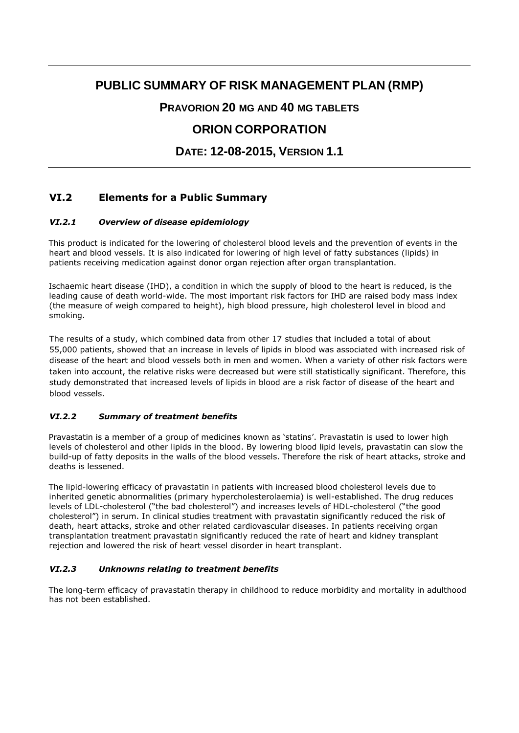# **PUBLIC SUMMARY OF RISK MANAGEMENT PLAN (RMP)**

### **PRAVORION 20 MG AND 40 MG TABLETS**

## **ORION CORPORATION**

**DATE: 12-08-2015, VERSION 1.1**

### **VI.2 Elements for a Public Summary**

### *VI.2.1 Overview of disease epidemiology*

This product is indicated for the lowering of cholesterol blood levels and the prevention of events in the heart and blood vessels. It is also indicated for lowering of high level of fatty substances (lipids) in patients receiving medication against donor organ rejection after organ transplantation.

Ischaemic heart disease (IHD), a condition in which the supply of blood to the heart is reduced, is the leading cause of death world-wide. The most important risk factors for IHD are raised body mass index (the measure of weigh compared to height), high blood pressure, high cholesterol level in blood and smoking.

The results of a study, which combined data from other 17 studies that included a total of about 55,000 patients, showed that an increase in levels of lipids in blood was associated with increased risk of disease of the heart and blood vessels both in men and women. When a variety of other risk factors were taken into account, the relative risks were decreased but were still statistically significant. Therefore, this study demonstrated that increased levels of lipids in blood are a risk factor of disease of the heart and blood vessels.

#### *VI.2.2 Summary of treatment benefits*

Pravastatin is a member of a group of medicines known as 'statins'. Pravastatin is used to lower high levels of cholesterol and other lipids in the blood. By lowering blood lipid levels, pravastatin can slow the build-up of fatty deposits in the walls of the blood vessels. Therefore the risk of heart attacks, stroke and deaths is lessened.

The lipid-lowering efficacy of pravastatin in patients with increased blood cholesterol levels due to inherited genetic abnormalities (primary hypercholesterolaemia) is well-established. The drug reduces levels of LDL-cholesterol ("the bad cholesterol") and increases levels of HDL-cholesterol ("the good cholesterol") in serum. In clinical studies treatment with pravastatin significantly reduced the risk of death, heart attacks, stroke and other related cardiovascular diseases. In patients receiving organ transplantation treatment pravastatin significantly reduced the rate of heart and kidney transplant rejection and lowered the risk of heart vessel disorder in heart transplant.

#### *VI.2.3 Unknowns relating to treatment benefits*

The long-term efficacy of pravastatin therapy in childhood to reduce morbidity and mortality in adulthood has not been established.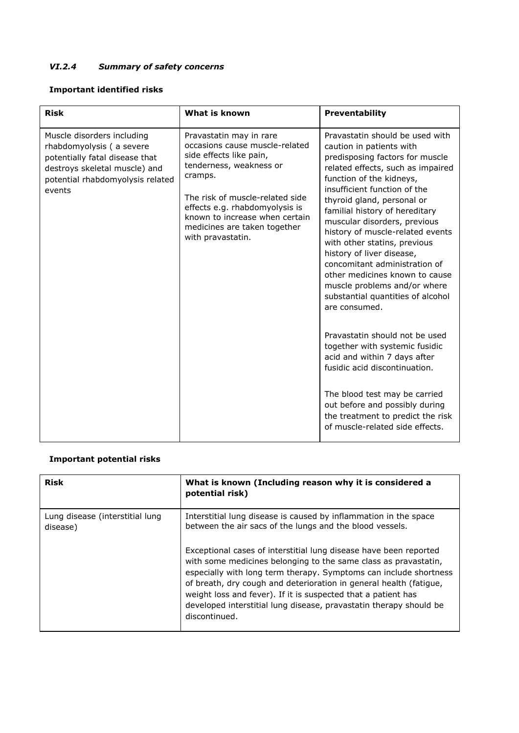### *VI.2.4 Summary of safety concerns*

### **Important identified risks**

| <b>Risk</b>                                                                                                                                                             | What is known                                                                                                                                                                                                                                                                          | Preventability                                                                                                                                                                                                                                                                                                                                                                                                                                                                                                                                                                                                                                                                                                                                                                                                                            |
|-------------------------------------------------------------------------------------------------------------------------------------------------------------------------|----------------------------------------------------------------------------------------------------------------------------------------------------------------------------------------------------------------------------------------------------------------------------------------|-------------------------------------------------------------------------------------------------------------------------------------------------------------------------------------------------------------------------------------------------------------------------------------------------------------------------------------------------------------------------------------------------------------------------------------------------------------------------------------------------------------------------------------------------------------------------------------------------------------------------------------------------------------------------------------------------------------------------------------------------------------------------------------------------------------------------------------------|
| Muscle disorders including<br>rhabdomyolysis (a severe<br>potentially fatal disease that<br>destroys skeletal muscle) and<br>potential rhabdomyolysis related<br>events | Pravastatin may in rare<br>occasions cause muscle-related<br>side effects like pain,<br>tenderness, weakness or<br>cramps.<br>The risk of muscle-related side<br>effects e.g. rhabdomyolysis is<br>known to increase when certain<br>medicines are taken together<br>with pravastatin. | Pravastatin should be used with<br>caution in patients with<br>predisposing factors for muscle<br>related effects, such as impaired<br>function of the kidneys,<br>insufficient function of the<br>thyroid gland, personal or<br>familial history of hereditary<br>muscular disorders, previous<br>history of muscle-related events<br>with other statins, previous<br>history of liver disease,<br>concomitant administration of<br>other medicines known to cause<br>muscle problems and/or where<br>substantial quantities of alcohol<br>are consumed.<br>Pravastatin should not be used<br>together with systemic fusidic<br>acid and within 7 days after<br>fusidic acid discontinuation.<br>The blood test may be carried<br>out before and possibly during<br>the treatment to predict the risk<br>of muscle-related side effects. |

### **Important potential risks**

| <b>Risk</b>                                 | What is known (Including reason why it is considered a<br>potential risk)                                                                                                                                                                                                                                                                                                                                                               |
|---------------------------------------------|-----------------------------------------------------------------------------------------------------------------------------------------------------------------------------------------------------------------------------------------------------------------------------------------------------------------------------------------------------------------------------------------------------------------------------------------|
| Lung disease (interstitial lung<br>disease) | Interstitial lung disease is caused by inflammation in the space<br>between the air sacs of the lungs and the blood vessels.                                                                                                                                                                                                                                                                                                            |
|                                             | Exceptional cases of interstitial lung disease have been reported<br>with some medicines belonging to the same class as pravastatin,<br>especially with long term therapy. Symptoms can include shortness<br>of breath, dry cough and deterioration in general health (fatigue,<br>weight loss and fever). If it is suspected that a patient has<br>developed interstitial lung disease, pravastatin therapy should be<br>discontinued. |